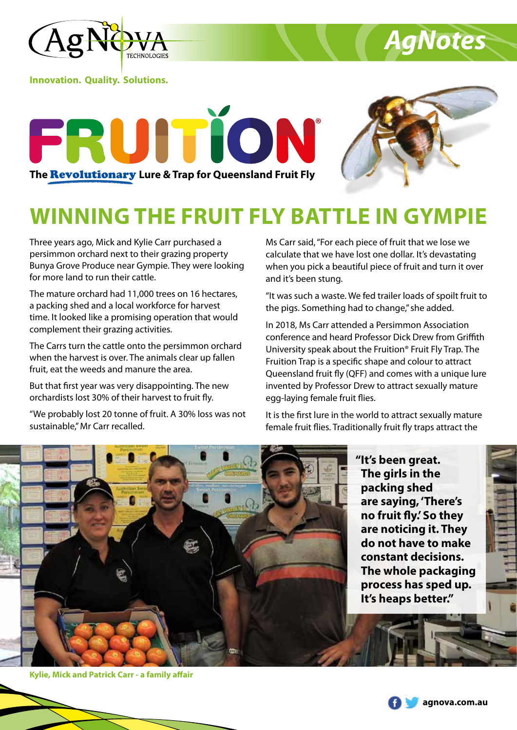

**Innovation. Quality. Solutions.**





*AgNotes*

## **WINNING THE FRUIT FLY BATTLE IN GYMPIE**

Three years ago, Mick and Kylie Carr purchased a persimmon orchard next to their grazing property Bunya Grove Produce near Gympie. They were looking for more land to run their cattle.

The mature orchard had 11,000 trees on 16 hectares, a packing shed and a local workforce for harvest time. It looked like a promising operation that would complement their grazing activities.

The Carrs turn the cattle onto the persimmon orchard when the harvest is over. The animals clear up fallen fruit, eat the weeds and manure the area.

But that first year was very disappointing. The new orchardists lost 30% of their harvest to fruit fly.

"We probably lost 20 tonne of fruit. A 30% loss was not sustainable," Mr Carr recalled.

Ms Carr said, "For each piece of fruit that we lose we calculate that we have lost one dollar. It's devastating when you pick a beautiful piece of fruit and turn it over and it's been stung.

"It was such a waste. We fed trailer loads of spoilt fruit to the pigs. Something had to change," she added.

In 2018, Ms Carr attended a Persimmon Association conference and heard Professor Dick Drew from Griffith University speak about the Fruition® Fruit Fly Trap. The Fruition Trap is a specific shape and colour to attract Queensland fruit fly (QFF) and comes with a unique lure invented by Professor Drew to attract sexually mature egg-laying female fruit flies.

It is the first lure in the world to attract sexually mature female fruit flies. Traditionally fruit fly traps attract the



**"It's been great. The girls in the packing shed are saying, 'There's no fruit fly.' So they are noticing it. They do not have to make constant decisions. The whole packaging process has sped up. It's heaps better."**

**Kylie, Mick and Patrick Carr - a family affair**